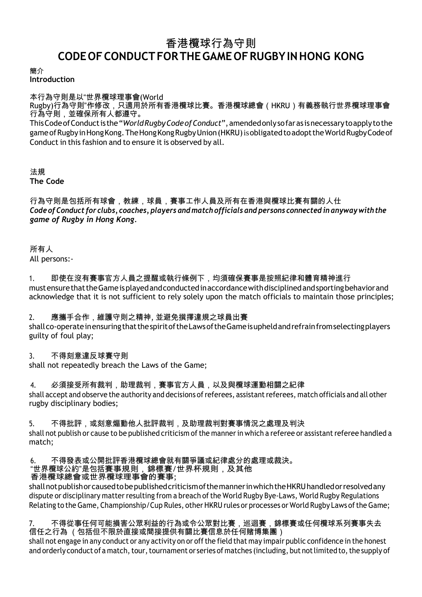# 香港欖球行為守則 **CODEOFCONDUCTFORTHEGAME OFRUGBYINHONG KONG**

簡介

**Introduction**

本行為守則是以"世界欖球理事會(World

Rugby)行為守則"作修改,只適用於所有香港欖球比賽。香港欖球總會(HKRU)有義務執行世界欖球理事會 行為守則,並確保所有人都遵守。

ThisCodeofConductis the"*WorldRugbyCodeofConduct*",amendedonlysofaras isnecessarytoapplytothe game of Rugby in Hong Kong. The Hong Kong Rugby Union (HKRU) is obligated to adopt the World Rugby Code of Conduct in this fashion and to ensure it is observed by all.

法規 **The Code**

### 行為守則是包括所有球會,教練,球員,賽事工作人員及所有在香港與欖球比賽有關的人仕 *Codeof Conduct for clubs, coaches, players and match officials and persons connected in anywaywiththe game of Rugby in Hong Kong.*

所有人 All persons:-

1. 即使在沒有賽事官方人員之提醒或執行條例下,均須確保賽事是按照紀律和體育精神進行 mustensurethattheGameisplayedandconductedinaccordancewithdisciplinedandsportingbehaviorand acknowledge that it is not sufficient to rely solely upon the match officials to maintain those principles;

### 2. 應攜手合作,維護守則之精神, 並避免撰擇違規之球員出賽

shallco-operateinensuringthatthespiritoftheLawsoftheGameisupheldandrefrainfromselectingplayers guilty of foul play;

### 3. 不得刻意違反球賽守則

shall not repeatedly breach the Laws of the Game;

4. 必須接受所有裁判,助理裁判,賽事官方人員,以及與欖球運動相關之紀律 shall accept and observe the authority and decisions of referees, assistant referees, match officials and all other rugby disciplinary bodies;

5. 不得批評,或刻意煽動他人批評裁判,及助理裁判對賽事情況之處理及判決 shall not publish or cause to be published criticism of the manner in which a referee or assistant referee handled a match;

#### 6. 不得發表或公開批評香港欖球總會就有關爭議或紀律處分的處理或裁決。 "世界欖球公約"是包括賽事規則,錦標賽/世界杯規則,及其他 香港欖球總會或世界欖球理事會的賽事;

shallnotpublishorcausedtobepublishedcriticismofthemannerinwhichtheHKRUhandledorresolvedany dispute or disciplinary matter resulting from a breach of the World Rugby Bye-Laws, World Rugby Regulations Relating to the Game, Championship/Cup Rules, other HKRU rules or processes or World Rugby Laws ofthe Game;

## 7. 不得從事任何可能損害公眾利益的行為或令公眾對比賽,巡迴賽,錦標賽或任何欖球系列賽事失去 信任之行為 (包括但不限於直接或間接提供有關比賽信息於任何賭博集團)

shall not engage in any conduct or any activity on or off the field that may impair public confidence in the honest and orderly conduct of a match, tour, tournament or series of matches (including, but not limited to, the supply of